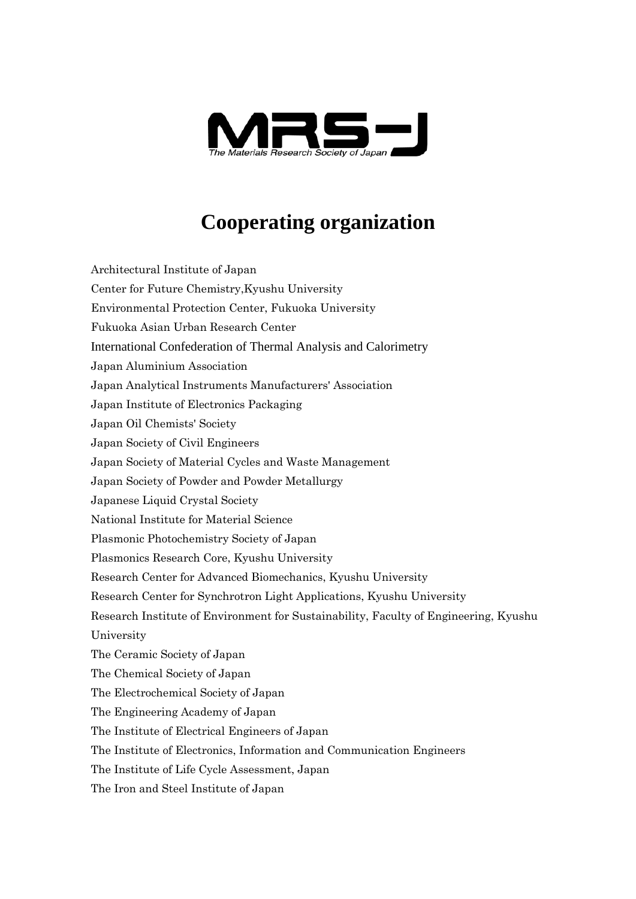

## **Cooperating organization**

Architectural Institute of Japan Center for Future Chemistry,Kyushu University Environmental Protection Center, Fukuoka University Fukuoka Asian Urban Research Center International Confederation of Thermal Analysis and Calorimetry Japan Aluminium Association Japan Analytical Instruments Manufacturers' Association Japan Institute of Electronics Packaging Japan Oil Chemists' Society Japan Society of Civil Engineers Japan Society of Material Cycles and Waste Management Japan Society of Powder and Powder Metallurgy Japanese Liquid Crystal Society National Institute for Material Science Plasmonic Photochemistry Society of Japan Plasmonics Research Core, Kyushu University Research Center for Advanced Biomechanics, Kyushu University Research Center for Synchrotron Light Applications, Kyushu University Research Institute of Environment for Sustainability, Faculty of Engineering, Kyushu University The Ceramic Society of Japan The Chemical Society of Japan The Electrochemical Society of Japan The Engineering Academy of Japan The Institute of Electrical Engineers of Japan The Institute of Electronics, Information and Communication Engineers The Institute of Life Cycle Assessment, Japan

The Iron and Steel Institute of Japan